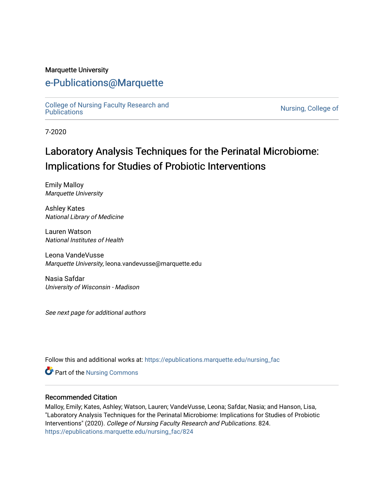#### Marquette University

## [e-Publications@Marquette](https://epublications.marquette.edu/)

[College of Nursing Faculty Research and](https://epublications.marquette.edu/nursing_fac)<br>Publications

Nursing, College of

7-2020

# Laboratory Analysis Techniques for the Perinatal Microbiome: Implications for Studies of Probiotic Interventions

Emily Malloy Marquette University

Ashley Kates National Library of Medicine

Lauren Watson National Institutes of Health

Leona VandeVusse Marquette University, leona.vandevusse@marquette.edu

Nasia Safdar University of Wisconsin - Madison

See next page for additional authors

Follow this and additional works at: [https://epublications.marquette.edu/nursing\\_fac](https://epublications.marquette.edu/nursing_fac?utm_source=epublications.marquette.edu%2Fnursing_fac%2F824&utm_medium=PDF&utm_campaign=PDFCoverPages)

Part of the [Nursing Commons](http://network.bepress.com/hgg/discipline/718?utm_source=epublications.marquette.edu%2Fnursing_fac%2F824&utm_medium=PDF&utm_campaign=PDFCoverPages) 

#### Recommended Citation

Malloy, Emily; Kates, Ashley; Watson, Lauren; VandeVusse, Leona; Safdar, Nasia; and Hanson, Lisa, "Laboratory Analysis Techniques for the Perinatal Microbiome: Implications for Studies of Probiotic Interventions" (2020). College of Nursing Faculty Research and Publications. 824. [https://epublications.marquette.edu/nursing\\_fac/824](https://epublications.marquette.edu/nursing_fac/824?utm_source=epublications.marquette.edu%2Fnursing_fac%2F824&utm_medium=PDF&utm_campaign=PDFCoverPages)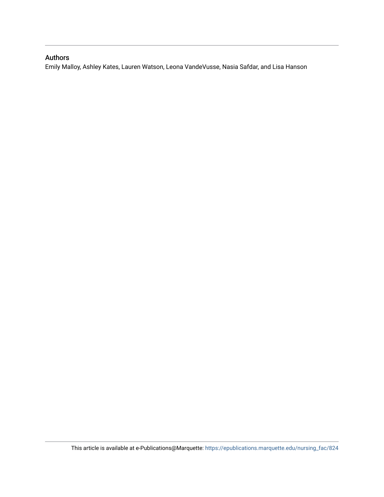#### Authors

Emily Malloy, Ashley Kates, Lauren Watson, Leona VandeVusse, Nasia Safdar, and Lisa Hanson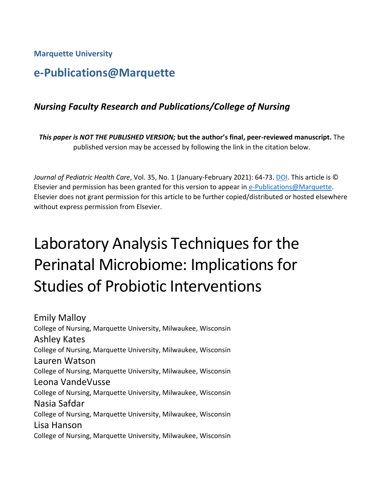**Marquette University**

# **e-Publications@Marquette**

## *Nursing Faculty Research and Publications/College of Nursing*

*This paper is NOT THE PUBLISHED VERSION;* **but the author's final, peer-reviewed manuscript.** The published version may be accessed by following the link in the citation below.

*Journal of Pediatric Health Care*, Vol. 35, No. 1 (January-February 2021): 64-73. [DOI.](https://doi.org/10.1016/j.pedhc.2020.07.015) This article is © Elsevier and permission has been granted for this version to appear in [e-Publications@Marquette.](http://epublications.marquette.edu/) Elsevier does not grant permission for this article to be further copied/distributed or hosted elsewhere without express permission from Elsevier.

# Laboratory Analysis Techniques for the Perinatal Microbiome: Implications for Studies of Probiotic Interventions

Emily Malloy College of Nursing, Marquette University, Milwaukee, Wisconsin Ashley Kates College of Nursing, Marquette University, Milwaukee, Wisconsin Lauren Watson College of Nursing, Marquette University, Milwaukee, Wisconsin Leona VandeVusse College of Nursing, Marquette University, Milwaukee, Wisconsin Nasia Safdar College of Nursing, Marquette University, Milwaukee, Wisconsin Lisa Hanson College of Nursing, Marquette University, Milwaukee, Wisconsin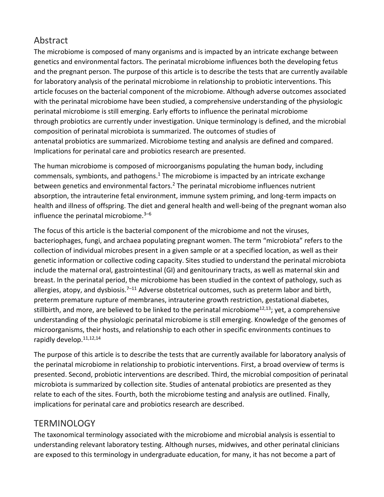## Abstract

The microbiome is composed of many organisms and is impacted by an intricate exchange between genetics and environmental factors. The perinatal microbiome influences both the developing fetus and the pregnant person. The purpose of this article is to describe the tests that are currently available for laboratory analysis of the perinatal microbiome in relationship to probiotic interventions. This article focuses on the bacterial component of the microbiome. Although adverse outcomes associated with the perinatal microbiome have been studied, a comprehensive understanding of the physiologic perinatal microbiome is still emerging. Early efforts to influence the perinatal microbiome through probiotics are currently under investigation. Unique terminology is defined, and the microbial composition of perinatal microbiota is summarized. The outcomes of studies of antenatal probiotics are summarized. Microbiome testing and analysis are defined and compared. Implications for perinatal care and probiotics research are presented.

The human microbiome is composed of microorganisms populating the human body, including commensals, symbionts, and pathogens. $1$  The microbiome is impacted by an intricate exchange between genetics and environmental factors.<sup>2</sup> The perinatal microbiome influences nutrient absorption, the intrauterine fetal environment, immune system priming, and long-term impacts on health and illness of offspring. The diet and general health and well-being of the pregnant woman also influence the perinatal microbiome. $3-6$ 

The focus of this article is the bacterial component of the microbiome and not the viruses, bacteriophages, fungi, and archaea populating pregnant women. The term "microbiota" refers to the collection of individual microbes present in a given sample or at a specified location, as well as their genetic information or collective coding capacity. Sites studied to understand the perinatal microbiota include the maternal oral, gastrointestinal (GI) and genitourinary tracts, as well as maternal skin and breast. In the perinatal period, the microbiome has been studied in the context of pathology, such as allergies, atopy, and dysbiosis.<sup>7-11</sup> Adverse obstetrical outcomes, such as preterm labor and birth, preterm premature rupture of membranes, intrauterine growth restriction, gestational diabetes, stillbirth, and more, are believed to be linked to the perinatal microbiome<sup>12,13</sup>; yet, a comprehensive understanding of the physiologic perinatal microbiome is still emerging. Knowledge of the genomes of microorganisms, their hosts, and relationship to each other in specific environments continues to rapidly develop.11,12,14

The purpose of this article is to describe the tests that are currently available for laboratory analysis of the perinatal microbiome in relationship to probiotic interventions. First, a broad overview of terms is presented. Second, probiotic interventions are described. Third, the microbial composition of perinatal microbiota is summarized by collection site. Studies of antenatal probiotics are presented as they relate to each of the sites. Fourth, both the microbiome testing and analysis are outlined. Finally, implications for perinatal care and probiotics research are described.

## **TERMINOLOGY**

The taxonomical terminology associated with the microbiome and microbial analysis is essential to understanding relevant laboratory testing. Although nurses, midwives, and other perinatal clinicians are exposed to this terminology in undergraduate education, for many, it has not become a part of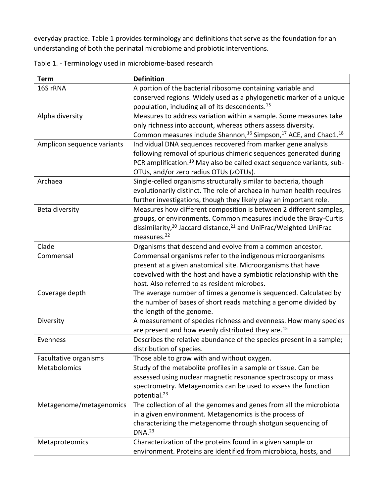everyday practice. Table 1 provides terminology and definitions that serve as the foundation for an understanding of both the perinatal microbiome and probiotic interventions.

| <b>Term</b>                | <b>Definition</b>                                                                                   |  |  |
|----------------------------|-----------------------------------------------------------------------------------------------------|--|--|
| 16S rRNA                   | A portion of the bacterial ribosome containing variable and                                         |  |  |
|                            | conserved regions. Widely used as a phylogenetic marker of a unique                                 |  |  |
|                            | population, including all of its descendents. <sup>15</sup>                                         |  |  |
| Alpha diversity            | Measures to address variation within a sample. Some measures take                                   |  |  |
|                            | only richness into account, whereas others assess diversity.                                        |  |  |
|                            | Common measures include Shannon, <sup>16</sup> Simpson, <sup>17</sup> ACE, and Chao1. <sup>18</sup> |  |  |
| Amplicon sequence variants | Individual DNA sequences recovered from marker gene analysis                                        |  |  |
|                            | following removal of spurious chimeric sequences generated during                                   |  |  |
|                            | PCR amplification. <sup>19</sup> May also be called exact sequence variants, sub-                   |  |  |
|                            | OTUs, and/or zero radius OTUs (zOTUs).                                                              |  |  |
| Archaea                    | Single-celled organisms structurally similar to bacteria, though                                    |  |  |
|                            | evolutionarily distinct. The role of archaea in human health requires                               |  |  |
|                            | further investigations, though they likely play an important role.                                  |  |  |
| Beta diversity             | Measures how different composition is between 2 different samples,                                  |  |  |
|                            | groups, or environments. Common measures include the Bray-Curtis                                    |  |  |
|                            | dissimilarity, <sup>20</sup> Jaccard distance, <sup>21</sup> and UniFrac/Weighted UniFrac           |  |  |
|                            | measures. <sup>22</sup>                                                                             |  |  |
| Clade                      | Organisms that descend and evolve from a common ancestor.                                           |  |  |
| Commensal                  | Commensal organisms refer to the indigenous microorganisms                                          |  |  |
|                            | present at a given anatomical site. Microorganisms that have                                        |  |  |
|                            | coevolved with the host and have a symbiotic relationship with the                                  |  |  |
|                            | host. Also referred to as resident microbes.                                                        |  |  |
| Coverage depth             | The average number of times a genome is sequenced. Calculated by                                    |  |  |
|                            | the number of bases of short reads matching a genome divided by                                     |  |  |
|                            | the length of the genome.                                                                           |  |  |
| Diversity                  | A measurement of species richness and evenness. How many species                                    |  |  |
|                            | are present and how evenly distributed they are. <sup>15</sup>                                      |  |  |
| Evenness                   | Describes the relative abundance of the species present in a sample;                                |  |  |
|                            | distribution of species.                                                                            |  |  |
| Facultative organisms      | Those able to grow with and without oxygen.                                                         |  |  |
| Metabolomics               | Study of the metabolite profiles in a sample or tissue. Can be                                      |  |  |
|                            | assessed using nuclear magnetic resonance spectroscopy or mass                                      |  |  |
|                            | spectrometry. Metagenomics can be used to assess the function                                       |  |  |
|                            | potential. <sup>23</sup>                                                                            |  |  |
| Metagenome/metagenomics    | The collection of all the genomes and genes from all the microbiota                                 |  |  |
|                            | in a given environment. Metagenomics is the process of                                              |  |  |
|                            | characterizing the metagenome through shotgun sequencing of                                         |  |  |
|                            | <b>DNA.</b> 23                                                                                      |  |  |
| Metaproteomics             | Characterization of the proteins found in a given sample or                                         |  |  |
|                            | environment. Proteins are identified from microbiota, hosts, and                                    |  |  |

Table 1. - Terminology used in microbiome-based research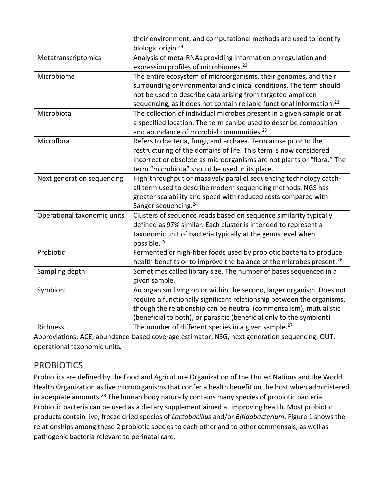|                             | their environment, and computational methods are used to identify<br>biologic origin. <sup>23</sup>                                                                                                                                                                                           |  |  |
|-----------------------------|-----------------------------------------------------------------------------------------------------------------------------------------------------------------------------------------------------------------------------------------------------------------------------------------------|--|--|
| Metatranscriptomics         | Analysis of meta-RNAs providing information on regulation and<br>expression profiles of microbiomes. <sup>23</sup>                                                                                                                                                                            |  |  |
| Microbiome                  | The entire ecosystem of microorganisms, their genomes, and their<br>surrounding environmental and clinical conditions. The term should<br>not be used to describe data arising from targeted amplicon<br>sequencing, as it does not contain reliable functional information. <sup>23</sup>    |  |  |
| Microbiota                  | The collection of individual microbes present in a given sample or at<br>a specified location. The term can be used to describe composition<br>and abundance of microbial communities. <sup>23</sup>                                                                                          |  |  |
| Microflora                  | Refers to bacteria, fungi, and archaea. Term arose prior to the<br>restructuring of the domains of life. This term is now considered<br>incorrect or obsolete as microorganisms are not plants or "flora." The<br>term "microbiota" should be used in its place.                              |  |  |
| Next generation sequencing  | High-throughput or massively parallel sequencing technology catch-<br>all term used to describe modern sequencing methods. NGS has<br>greater scalability and speed with reduced costs compared with<br>Sanger sequencing. <sup>24</sup>                                                      |  |  |
| Operational taxonomic units | Clusters of sequence reads based on sequence similarity typically<br>defined as 97% similar. Each cluster is intended to represent a<br>taxonomic unit of bacteria typically at the genus level when<br>possible. <sup>25</sup>                                                               |  |  |
| Prebiotic                   | Fermented or high-fiber foods used by probiotic bacteria to produce<br>health benefits or to improve the balance of the microbes present. <sup>26</sup>                                                                                                                                       |  |  |
| Sampling depth              | Sometimes called library size. The number of bases sequenced in a<br>given sample.                                                                                                                                                                                                            |  |  |
| Symbiont                    | An organism living on or within the second, larger organism. Does not<br>require a functionally significant relationship between the organisms,<br>though the relationship can be neutral (commensalism), mutualistic<br>(beneficial to both), or parasitic (beneficial only to the symbiont) |  |  |
| Richness                    | The number of different species in a given sample. <sup>27</sup>                                                                                                                                                                                                                              |  |  |

Abbreviations: ACE, abundance-based coverage estimator; NSG, next generation sequencing; OUT, operational taxonomic units.

## PROBIOTICS

Probiotics are defined by the Food and Agriculture Organization of the United Nations and the World Health Organization as live microorganisms that confer a health benefit on the host when administered in adequate amounts.<sup>28</sup> The human body naturally contains many species of probiotic bacteria. Probiotic bacteria can be used as a dietary supplement aimed at improving health. Most probiotic products contain live, freeze dried species of *Lactobacillus* and/or *Bifidobacterium*. Figure 1 shows the relationships among these 2 probiotic species to each other and to other commensals, as well as pathogenic bacteria relevant to perinatal care.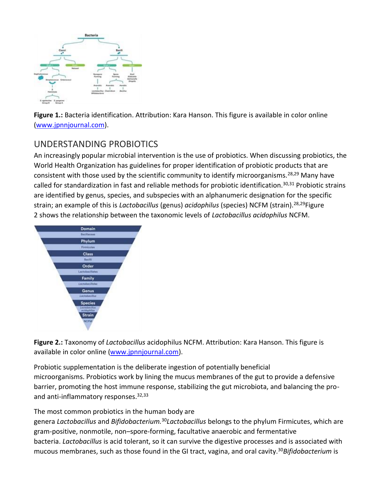

**Figure 1.:** Bacteria identification. Attribution: Kara Hanson. This figure is available in color online [\(www.jpnnjournal.com\)](http://www.jpnnjournal.com/).

## UNDERSTANDING PROBIOTICS

An increasingly popular microbial intervention is the use of probiotics. When discussing probiotics, the World Health Organization has guidelines for proper identification of probiotic products that are consistent with those used by the scientific community to identify microorganisms.<sup>28,29</sup> Many have called for standardization in fast and reliable methods for probiotic identification.<sup>30,31</sup> Probiotic strains are identified by genus, species, and subspecies with an alphanumeric designation for the specific strain; an example of this is *Lactobacillus* (genus) *acidophilus* (species) NCFM (strain).28,29Figure 2 shows the relationship between the taxonomic levels of *Lactobacillus acidophilus* NCFM.



**Figure 2.:** Taxonomy of *Lactobacillus* acidophilus NCFM. Attribution: Kara Hanson. This figure is available in color online [\(www.jpnnjournal.com\)](http://www.jpnnjournal.com/).

Probiotic supplementation is the deliberate ingestion of potentially beneficial microorganisms. Probiotics work by lining the mucus membranes of the gut to provide a defensive barrier, promoting the host immune response, stabilizing the gut microbiota, and balancing the proand anti-inflammatory responses.<sup>32,33</sup>

#### The most common probiotics in the human body are

genera *Lactobacillus* and *Bifidobacterium.*<sup>30</sup>*Lactobacillus* belongs to the phylum Firmicutes, which are gram-positive, nonmotile, non–spore-forming, facultative anaerobic and fermentative bacteria. *Lactobacillus* is acid tolerant, so it can survive the digestive processes and is associated with mucous membranes, such as those found in the GI tract, vagina, and oral cavity.<sup>30</sup>*Bifidobacterium* is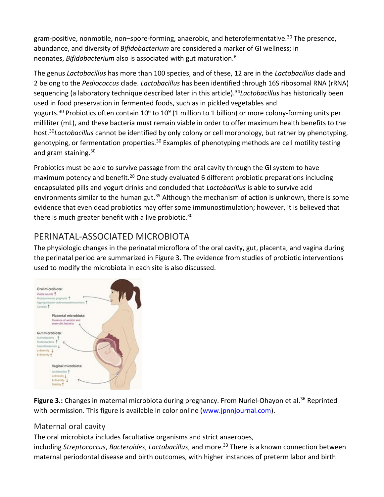gram-positive, nonmotile, non–spore-forming, anaerobic, and heterofermentative.<sup>30</sup> The presence, abundance, and diversity of *Bifidobacterium* are considered a marker of GI wellness; in neonates, *Bifidobacterium* also is associated with gut maturation.<sup>6</sup>

The genus *Lactobacillus* has more than 100 species, and of these, 12 are in the *Lactobacillus* clade and 2 belong to the *Pediococcus* clade. *Lactobacillus* has been identified through 16S ribosomal RNA (rRNA) sequencing (a laboratory technique described later in this article).<sup>34</sup> Lactobacillus has historically been used in food preservation in fermented foods, such as in pickled vegetables and yogurts.<sup>30</sup> Probiotics often contain 10<sup>6</sup> to 10<sup>9</sup> (1 million to 1 billion) or more colony-forming units per milliliter (mL), and these bacteria must remain viable in order to offer maximum health benefits to the host.<sup>30</sup>*Lactobacillus* cannot be identified by only colony or cell morphology, but rather by phenotyping, genotyping, or fermentation properties.<sup>30</sup> Examples of phenotyping methods are cell motility testing and gram staining.<sup>30</sup>

Probiotics must be able to survive passage from the oral cavity through the GI system to have maximum potency and benefit.<sup>28</sup> One study evaluated 6 different probiotic preparations including encapsulated pills and yogurt drinks and concluded that *Lactobacillus* is able to survive acid environments similar to the human gut.<sup>35</sup> Although the mechanism of action is unknown, there is some evidence that even dead probiotics may offer some immunostimulation; however, it is believed that there is much greater benefit with a live probiotic.<sup>30</sup>

## PERINATAL-ASSOCIATED MICROBIOTA

The physiologic changes in the perinatal microflora of the oral cavity, gut, placenta, and vagina during the perinatal period are summarized in Figure 3. The evidence from studies of probiotic interventions used to modify the microbiota in each site is also discussed.



**Figure 3.:** Changes in maternal microbiota during pregnancy. From Nuriel-Ohayon et al.<sup>36</sup> Reprinted with permission. This figure is available in color online [\(www.jpnnjournal.com\)](http://www.jpnnjournal.com/).

#### Maternal oral cavity

The oral microbiota includes facultative organisms and strict anaerobes,

including *Streptococcus*, *Bacteroides*, *Lactobacillus*, and more.<sup>33</sup> There is a known connection between maternal periodontal disease and birth outcomes, with higher instances of preterm labor and birth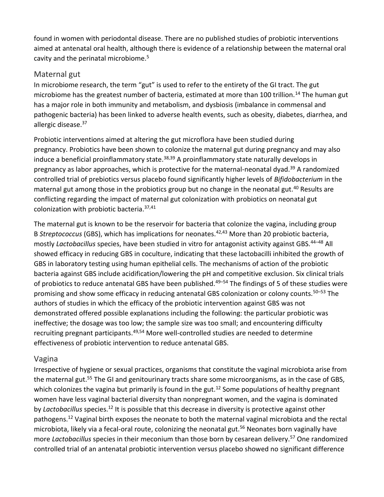found in women with periodontal disease. There are no published studies of probiotic interventions aimed at antenatal oral health, although there is evidence of a relationship between the maternal oral cavity and the perinatal microbiome.<sup>5</sup>

#### Maternal gut

In microbiome research, the term "gut" is used to refer to the entirety of the GI tract. The gut microbiome has the greatest number of bacteria, estimated at more than 100 trillion.<sup>14</sup> The human gut has a major role in both immunity and metabolism, and dysbiosis (imbalance in commensal and pathogenic bacteria) has been linked to adverse health events, such as obesity, diabetes, diarrhea, and allergic disease.<sup>37</sup>

Probiotic interventions aimed at altering the gut microflora have been studied during pregnancy. Probiotics have been shown to colonize the maternal gut during pregnancy and may also induce a beneficial proinflammatory state. $38,39$  A proinflammatory state naturally develops in pregnancy as labor approaches, which is protective for the maternal-neonatal dyad.<sup>39</sup> A randomized controlled trial of prebiotics versus placebo found significantly higher levels of *Bifidobacterium* in the maternal gut among those in the probiotics group but no change in the neonatal gut.<sup>40</sup> Results are conflicting regarding the impact of maternal gut colonization with probiotics on neonatal gut colonization with probiotic bacteria.37,41

The maternal gut is known to be the reservoir for bacteria that colonize the vagina, including group B *Streptococcus* (GBS), which has implications for neonates.42,43 More than 20 probiotic bacteria, mostly *Lactobacillus* species, have been studied in vitro for antagonist activity against GBS.<sup>44</sup>–<sup>48</sup> All showed efficacy in reducing GBS in coculture, indicating that these lactobacilli inhibited the growth of GBS in laboratory testing using human epithelial cells. The mechanisms of action of the probiotic bacteria against GBS include acidification/lowering the pH and competitive exclusion. Six clinical trials of probiotics to reduce antenatal GBS have been published.<sup>49-54</sup> The findings of 5 of these studies were promising and show some efficacy in reducing antenatal GBS colonization or colony counts.<sup>50–53</sup> The authors of studies in which the efficacy of the probiotic intervention against GBS was not demonstrated offered possible explanations including the following: the particular probiotic was ineffective; the dosage was too low; the sample size was too small; and encountering difficulty recruiting pregnant participants.<sup>49,54</sup> More well-controlled studies are needed to determine effectiveness of probiotic intervention to reduce antenatal GBS.

#### Vagina

Irrespective of hygiene or sexual practices, organisms that constitute the vaginal microbiota arise from the maternal gut.<sup>55</sup> The GI and genitourinary tracts share some microorganisms, as in the case of GBS, which colonizes the vagina but primarily is found in the gut.<sup>12</sup> Some populations of healthy pregnant women have less vaginal bacterial diversity than nonpregnant women, and the vagina is dominated by *Lactobacillus* species.<sup>12</sup> It is possible that this decrease in diversity is protective against other pathogens.<sup>12</sup> Vaginal birth exposes the neonate to both the maternal vaginal microbiota and the rectal microbiota, likely via a fecal-oral route, colonizing the neonatal gut.<sup>56</sup> Neonates born vaginally have more *Lactobacillus* species in their meconium than those born by cesarean delivery.<sup>57</sup> One randomized controlled trial of an antenatal probiotic intervention versus placebo showed no significant difference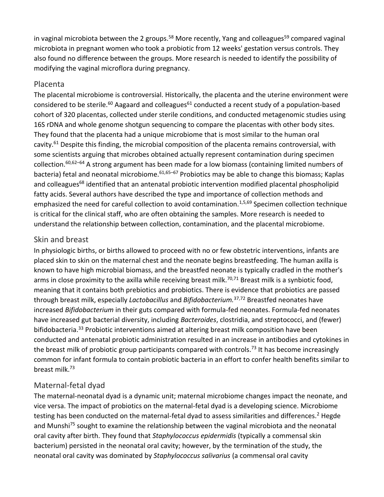in vaginal microbiota between the 2 groups.<sup>58</sup> More recently, Yang and colleagues<sup>59</sup> compared vaginal microbiota in pregnant women who took a probiotic from 12 weeks' gestation versus controls. They also found no difference between the groups. More research is needed to identify the possibility of modifying the vaginal microflora during pregnancy.

#### Placenta

The placental microbiome is controversial. Historically, the placenta and the uterine environment were considered to be sterile.<sup>60</sup> Aagaard and colleagues<sup>61</sup> conducted a recent study of a population-based cohort of 320 placentas, collected under sterile conditions, and conducted metagenomic studies using 16S rDNA and whole genome shotgun sequencing to compare the placentas with other body sites. They found that the placenta had a unique microbiome that is most similar to the human oral cavity.<sup>61</sup> Despite this finding, the microbial composition of the placenta remains controversial, with some scientists arguing that microbes obtained actually represent contamination during specimen collection.60,62–<sup>64</sup> A strong argument has been made for a low biomass (containing limited numbers of bacteria) fetal and neonatal microbiome.<sup>61,65–67</sup> Probiotics may be able to change this biomass; Kaplas and colleagues<sup>68</sup> identified that an antenatal probiotic intervention modified placental phospholipid fatty acids. Several authors have described the type and importance of collection methods and emphasized the need for careful collection to avoid contamination.<sup>1,5,69</sup> Specimen collection technique is critical for the clinical staff, who are often obtaining the samples. More research is needed to understand the relationship between collection, contamination, and the placental microbiome.

#### Skin and breast

In physiologic births, or births allowed to proceed with no or few obstetric interventions, infants are placed skin to skin on the maternal chest and the neonate begins breastfeeding. The human axilla is known to have high microbial biomass, and the breastfed neonate is typically cradled in the mother's arms in close proximity to the axilla while receiving breast milk.<sup>70,71</sup> Breast milk is a synbiotic food, meaning that it contains both prebiotics and probiotics. There is evidence that probiotics are passed through breast milk, especially *Lactobacillus* and *Bifidobacterium.*37,72 Breastfed neonates have increased *Bifidobacterium* in their guts compared with formula-fed neonates. Formula-fed neonates have increased gut bacterial diversity, including *Bacteroides*, clostridia, and streptococci, and (fewer) bifidobacteria.<sup>33</sup> Probiotic interventions aimed at altering breast milk composition have been conducted and antenatal probiotic administration resulted in an increase in antibodies and cytokines in the breast milk of probiotic group participants compared with controls.<sup>73</sup> It has become increasingly common for infant formula to contain probiotic bacteria in an effort to confer health benefits similar to breast milk.<sup>73</sup>

#### Maternal-fetal dyad

The maternal-neonatal dyad is a dynamic unit; maternal microbiome changes impact the neonate, and vice versa. The impact of probiotics on the maternal-fetal dyad is a developing science. Microbiome testing has been conducted on the maternal-fetal dyad to assess similarities and differences.<sup>2</sup> Hegde and Munshi<sup>75</sup> sought to examine the relationship between the vaginal microbiota and the neonatal oral cavity after birth. They found that *Staphylococcus epidermidis* (typically a commensal skin bacterium) persisted in the neonatal oral cavity; however, by the termination of the study, the neonatal oral cavity was dominated by *Staphylococcus salivarius* (a commensal oral cavity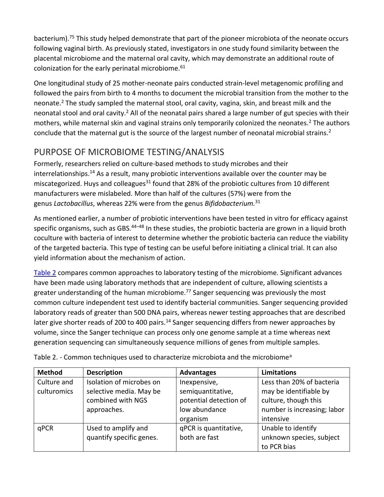bacterium).<sup>75</sup> This study helped demonstrate that part of the pioneer microbiota of the neonate occurs following vaginal birth. As previously stated, investigators in one study found similarity between the placental microbiome and the maternal oral cavity, which may demonstrate an additional route of colonization for the early perinatal microbiome. $61$ 

One longitudinal study of 25 mother-neonate pairs conducted strain-level metagenomic profiling and followed the pairs from birth to 4 months to document the microbial transition from the mother to the neonate.<sup>2</sup> The study sampled the maternal stool, oral cavity, vagina, skin, and breast milk and the neonatal stool and oral cavity.<sup>2</sup> All of the neonatal pairs shared a large number of gut species with their mothers, while maternal skin and vaginal strains only temporarily colonized the neonates.<sup>2</sup> The authors conclude that the maternal gut is the source of the largest number of neonatal microbial strains.<sup>2</sup>

## PURPOSE OF MICROBIOME TESTING/ANALYSIS

Formerly, researchers relied on culture-based methods to study microbes and their interrelationships.<sup>14</sup> As a result, many probiotic interventions available over the counter may be miscategorized. Huys and colleagues<sup>31</sup> found that 28% of the probiotic cultures from 10 different manufacturers were mislabeled. More than half of the cultures (57%) were from the genus *Lactobacillus*, whereas 22% were from the genus *Bifidobacterium.*<sup>31</sup>

As mentioned earlier, a number of probiotic interventions have been tested in vitro for efficacy against specific organisms, such as GBS.<sup>44-48</sup> In these studies, the probiotic bacteria are grown in a liquid broth coculture with bacteria of interest to determine whether the probiotic bacteria can reduce the viability of the targeted bacteria. This type of testing can be useful before initiating a clinical trial. It can also yield information about the mechanism of action.

[Table 2](https://journals.lww.com/jpnnjournal/Fulltext/2020/07000/Laboratory_Analysis_Techniques_for_the_Perinatal.12.aspx#T2) compares common approaches to laboratory testing of the microbiome. Significant advances have been made using laboratory methods that are independent of culture, allowing scientists a greater understanding of the human microbiome.<sup>77</sup> Sanger sequencing was previously the most common culture independent test used to identify bacterial communities. Sanger sequencing provided laboratory reads of greater than 500 DNA pairs, whereas newer testing approaches that are described later give shorter reads of 200 to 400 pairs.<sup>14</sup> Sanger sequencing differs from newer approaches by volume, since the Sanger technique can process only one genome sample at a time whereas next generation sequencing can simultaneously sequence millions of genes from multiple samples.

| <b>Method</b> | <b>Description</b>       | <b>Advantages</b>      | <b>Limitations</b>          |
|---------------|--------------------------|------------------------|-----------------------------|
| Culture and   | Isolation of microbes on | Inexpensive,           | Less than 20% of bacteria   |
| culturomics   | selective media. May be  | semiquantitative,      | may be identifiable by      |
|               | combined with NGS        | potential detection of | culture, though this        |
|               | approaches.              | low abundance          | number is increasing; labor |
|               |                          | organism               | intensive                   |
| qPCR          | Used to amplify and      | qPCR is quantitative,  | Unable to identify          |
|               | quantify specific genes. | both are fast          | unknown species, subject    |
|               |                          |                        | to PCR bias                 |

Table 2. - Common techniques used to characterize microbiota and the microbiome<sup>a</sup>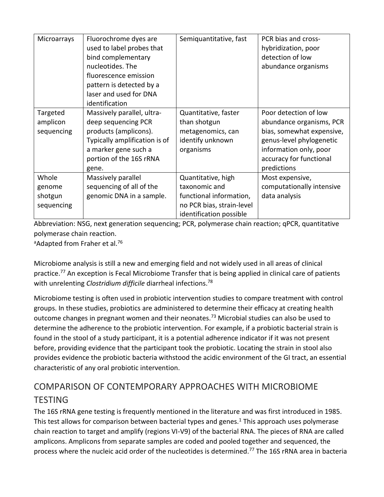| Microarrays                              | Fluorochrome dyes are<br>used to label probes that<br>bind complementary<br>nucleotides. The<br>fluorescence emission<br>pattern is detected by a<br>laser and used for DNA<br>identification | Semiquantitative, fast                                                                                                 | PCR bias and cross-<br>hybridization, poor<br>detection of low<br>abundance organisms                                                                                          |
|------------------------------------------|-----------------------------------------------------------------------------------------------------------------------------------------------------------------------------------------------|------------------------------------------------------------------------------------------------------------------------|--------------------------------------------------------------------------------------------------------------------------------------------------------------------------------|
| Targeted<br>amplicon<br>sequencing       | Massively parallel, ultra-<br>deep sequencing PCR<br>products (amplicons).<br>Typically amplification is of<br>a marker gene such a<br>portion of the 16S rRNA<br>gene.                       | Quantitative, faster<br>than shotgun<br>metagenomics, can<br>identify unknown<br>organisms                             | Poor detection of low<br>abundance organisms, PCR<br>bias, somewhat expensive,<br>genus-level phylogenetic<br>information only, poor<br>accuracy for functional<br>predictions |
| Whole<br>genome<br>shotgun<br>sequencing | Massively parallel<br>sequencing of all of the<br>genomic DNA in a sample.                                                                                                                    | Quantitative, high<br>taxonomic and<br>functional information,<br>no PCR bias, strain-level<br>identification possible | Most expensive,<br>computationally intensive<br>data analysis                                                                                                                  |

Abbreviation: NSG, next generation sequencing; PCR, polymerase chain reaction; qPCR, quantitative polymerase chain reaction.

<sup>a</sup>Adapted from Fraher et al.<sup>76</sup>

Microbiome analysis is still a new and emerging field and not widely used in all areas of clinical practice.<sup>77</sup> An exception is Fecal Microbiome Transfer that is being applied in clinical care of patients with unrelenting *Clostridium difficile* diarrheal infections.<sup>78</sup>

Microbiome testing is often used in probiotic intervention studies to compare treatment with control groups. In these studies, probiotics are administered to determine their efficacy at creating health outcome changes in pregnant women and their neonates.<sup>73</sup> Microbial studies can also be used to determine the adherence to the probiotic intervention. For example, if a probiotic bacterial strain is found in the stool of a study participant, it is a potential adherence indicator if it was not present before, providing evidence that the participant took the probiotic. Locating the strain in stool also provides evidence the probiotic bacteria withstood the acidic environment of the GI tract, an essential characteristic of any oral probiotic intervention.

## COMPARISON OF CONTEMPORARY APPROACHES WITH MICROBIOME TESTING

The 16S rRNA gene testing is frequently mentioned in the literature and was first introduced in 1985. This test allows for comparison between bacterial types and genes.<sup>1</sup> This approach uses polymerase chain reaction to target and amplify (regions VI-V9) of the bacterial RNA. The pieces of RNA are called amplicons. Amplicons from separate samples are coded and pooled together and sequenced, the process where the nucleic acid order of the nucleotides is determined.<sup>77</sup> The 16S rRNA area in bacteria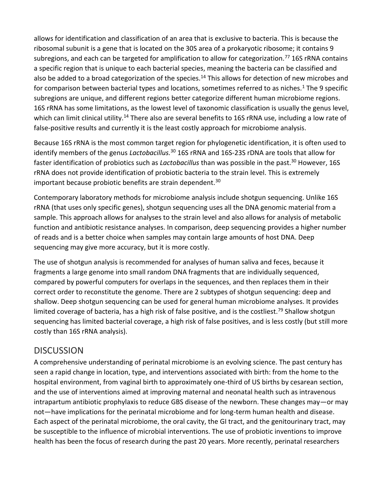allows for identification and classification of an area that is exclusive to bacteria. This is because the ribosomal subunit is a gene that is located on the 30S area of a prokaryotic ribosome; it contains 9 subregions, and each can be targeted for amplification to allow for categorization.<sup>77</sup> 16S rRNA contains a specific region that is unique to each bacterial species, meaning the bacteria can be classified and also be added to a broad categorization of the species.<sup>14</sup> This allows for detection of new microbes and for comparison between bacterial types and locations, sometimes referred to as niches.<sup>1</sup> The 9 specific subregions are unique, and different regions better categorize different human microbiome regions. 16S rRNA has some limitations, as the lowest level of taxonomic classification is usually the genus level, which can limit clinical utility.<sup>14</sup> There also are several benefits to 16S rRNA use, including a low rate of false-positive results and currently it is the least costly approach for microbiome analysis.

Because 16S rRNA is the most common target region for phylogenetic identification, it is often used to identify members of the genus *Lactobacillus.*<sup>30</sup> 16S rRNA and 16S-23S rDNA are tools that allow for faster identification of probiotics such as *Lactobacillus* than was possible in the past.<sup>30</sup> However, 16S rRNA does not provide identification of probiotic bacteria to the strain level. This is extremely important because probiotic benefits are strain dependent.<sup>30</sup>

Contemporary laboratory methods for microbiome analysis include shotgun sequencing. Unlike 16S rRNA (that uses only specific genes), shotgun sequencing uses all the DNA genomic material from a sample. This approach allows for analyses to the strain level and also allows for analysis of metabolic function and antibiotic resistance analyses. In comparison, deep sequencing provides a higher number of reads and is a better choice when samples may contain large amounts of host DNA. Deep sequencing may give more accuracy, but it is more costly.

The use of shotgun analysis is recommended for analyses of human saliva and feces, because it fragments a large genome into small random DNA fragments that are individually sequenced, compared by powerful computers for overlaps in the sequences, and then replaces them in their correct order to reconstitute the genome. There are 2 subtypes of shotgun sequencing: deep and shallow. Deep shotgun sequencing can be used for general human microbiome analyses. It provides limited coverage of bacteria, has a high risk of false positive, and is the costliest.<sup>79</sup> Shallow shotgun sequencing has limited bacterial coverage, a high risk of false positives, and is less costly (but still more costly than 16S rRNA analysis).

## **DISCUSSION**

A comprehensive understanding of perinatal microbiome is an evolving science. The past century has seen a rapid change in location, type, and interventions associated with birth: from the home to the hospital environment, from vaginal birth to approximately one-third of US births by cesarean section, and the use of interventions aimed at improving maternal and neonatal health such as intravenous intrapartum antibiotic prophylaxis to reduce GBS disease of the newborn. These changes may—or may not—have implications for the perinatal microbiome and for long-term human health and disease. Each aspect of the perinatal microbiome, the oral cavity, the GI tract, and the genitourinary tract, may be susceptible to the influence of microbial interventions. The use of probiotic inventions to improve health has been the focus of research during the past 20 years. More recently, perinatal researchers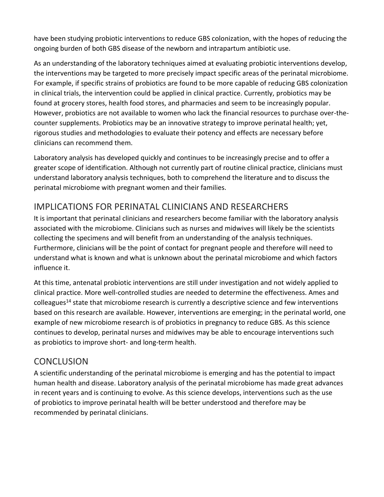have been studying probiotic interventions to reduce GBS colonization, with the hopes of reducing the ongoing burden of both GBS disease of the newborn and intrapartum antibiotic use.

As an understanding of the laboratory techniques aimed at evaluating probiotic interventions develop, the interventions may be targeted to more precisely impact specific areas of the perinatal microbiome. For example, if specific strains of probiotics are found to be more capable of reducing GBS colonization in clinical trials, the intervention could be applied in clinical practice. Currently, probiotics may be found at grocery stores, health food stores, and pharmacies and seem to be increasingly popular. However, probiotics are not available to women who lack the financial resources to purchase over-thecounter supplements. Probiotics may be an innovative strategy to improve perinatal health; yet, rigorous studies and methodologies to evaluate their potency and effects are necessary before clinicians can recommend them.

Laboratory analysis has developed quickly and continues to be increasingly precise and to offer a greater scope of identification. Although not currently part of routine clinical practice, clinicians must understand laboratory analysis techniques, both to comprehend the literature and to discuss the perinatal microbiome with pregnant women and their families.

## IMPLICATIONS FOR PERINATAL CLINICIANS AND RESEARCHERS

It is important that perinatal clinicians and researchers become familiar with the laboratory analysis associated with the microbiome. Clinicians such as nurses and midwives will likely be the scientists collecting the specimens and will benefit from an understanding of the analysis techniques. Furthermore, clinicians will be the point of contact for pregnant people and therefore will need to understand what is known and what is unknown about the perinatal microbiome and which factors influence it.

At this time, antenatal probiotic interventions are still under investigation and not widely applied to clinical practice. More well-controlled studies are needed to determine the effectiveness. Ames and colleagues<sup>14</sup> state that microbiome research is currently a descriptive science and few interventions based on this research are available. However, interventions are emerging; in the perinatal world, one example of new microbiome research is of probiotics in pregnancy to reduce GBS. As this science continues to develop, perinatal nurses and midwives may be able to encourage interventions such as probiotics to improve short- and long-term health.

## **CONCLUSION**

A scientific understanding of the perinatal microbiome is emerging and has the potential to impact human health and disease. Laboratory analysis of the perinatal microbiome has made great advances in recent years and is continuing to evolve. As this science develops, interventions such as the use of probiotics to improve perinatal health will be better understood and therefore may be recommended by perinatal clinicians.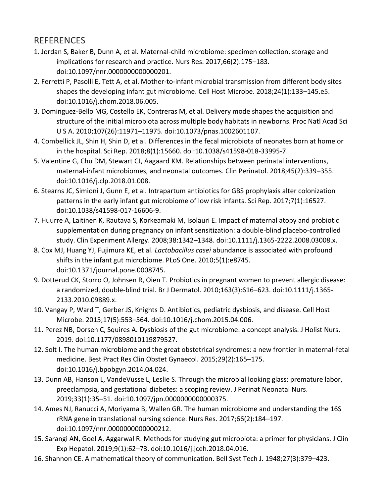#### REFERENCES

- 1. Jordan S, Baker B, Dunn A, et al. Maternal-child microbiome: specimen collection, storage and implications for research and practice. Nurs Res. 2017;66(2):175–183. doi:10.1097/nnr.0000000000000201.
- 2. Ferretti P, Pasolli E, Tett A, et al. Mother-to-infant microbial transmission from different body sites shapes the developing infant gut microbiome. Cell Host Microbe. 2018;24(1):133–145.e5. doi:10.1016/j.chom.2018.06.005.
- 3. Dominguez-Bello MG, Costello EK, Contreras M, et al. Delivery mode shapes the acquisition and structure of the initial microbiota across multiple body habitats in newborns. Proc Natl Acad Sci U S A. 2010;107(26):11971–11975. doi:10.1073/pnas.1002601107.
- 4. Combellick JL, Shin H, Shin D, et al. Differences in the fecal microbiota of neonates born at home or in the hospital. Sci Rep. 2018;8(1):15660. doi:10.1038/s41598-018-33995-7.
- 5. Valentine G, Chu DM, Stewart CJ, Aagaard KM. Relationships between perinatal interventions, maternal-infant microbiomes, and neonatal outcomes. Clin Perinatol. 2018;45(2):339–355. doi:10.1016/j.clp.2018.01.008.
- 6. Stearns JC, Simioni J, Gunn E, et al. Intrapartum antibiotics for GBS prophylaxis alter colonization patterns in the early infant gut microbiome of low risk infants. Sci Rep. 2017;7(1):16527. doi:10.1038/s41598-017-16606-9.
- 7. Huurre A, Laitinen K, Rautava S, Korkeamaki M, Isolauri E. Impact of maternal atopy and probiotic supplementation during pregnancy on infant sensitization: a double-blind placebo-controlled study. Clin Experiment Allergy. 2008;38:1342–1348. doi:10.1111/j.1365-2222.2008.03008.x.
- 8. Cox MJ, Huang YJ, Fujimura KE, et al. *Lactobacillus casei* abundance is associated with profound shifts in the infant gut microbiome. PLoS One. 2010;5(1):e8745. doi:10.1371/journal.pone.0008745.
- 9. Dotterud CK, Storro O, Johnsen R, Oien T. Probiotics in pregnant women to prevent allergic disease: a randomized, double-blind trial. Br J Dermatol. 2010;163(3):616–623. doi:10.1111/j.1365- 2133.2010.09889.x.
- 10. Vangay P, Ward T, Gerber JS, Knights D. Antibiotics, pediatric dysbiosis, and disease. Cell Host Microbe. 2015;17(5):553–564. doi:10.1016/j.chom.2015.04.006.
- 11. Perez NB, Dorsen C, Squires A. Dysbiosis of the gut microbiome: a concept analysis. J Holist Nurs. 2019. doi:10.1177/0898010119879527.
- 12. Solt I. The human microbiome and the great obstetrical syndromes: a new frontier in maternal-fetal medicine. Best Pract Res Clin Obstet Gynaecol. 2015;29(2):165–175. doi:10.1016/j.bpobgyn.2014.04.024.
- 13. Dunn AB, Hanson L, VandeVusse L, Leslie S. Through the microbial looking glass: premature labor, preeclampsia, and gestational diabetes: a scoping review. J Perinat Neonatal Nurs. 2019;33(1):35–51. doi:10.1097/jpn.0000000000000375.
- 14. Ames NJ, Ranucci A, Moriyama B, Wallen GR. The human microbiome and understanding the 16S rRNA gene in translational nursing science. Nurs Res. 2017;66(2):184–197. doi:10.1097/nnr.0000000000000212.
- 15. Sarangi AN, Goel A, Aggarwal R. Methods for studying gut microbiota: a primer for physicians. J Clin Exp Hepatol. 2019;9(1):62–73. doi:10.1016/j.jceh.2018.04.016.
- 16. Shannon CE. A mathematical theory of communication. Bell Syst Tech J. 1948;27(3):379–423.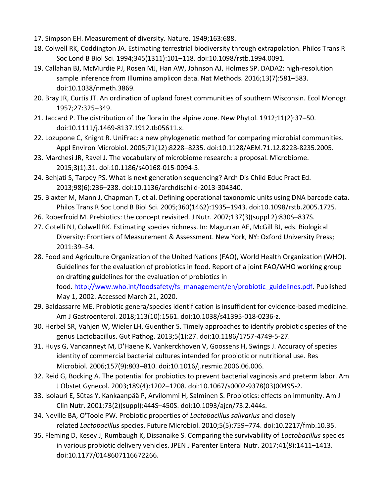- 17. Simpson EH. Measurement of diversity. Nature. 1949;163:688.
- 18. Colwell RK, Coddington JA. Estimating terrestrial biodiversity through extrapolation. Philos Trans R Soc Lond B Biol Sci. 1994;345(1311):101–118. doi:10.1098/rstb.1994.0091.
- 19. Callahan BJ, McMurdie PJ, Rosen MJ, Han AW, Johnson AJ, Holmes SP. DADA2: high-resolution sample inference from Illumina amplicon data. Nat Methods. 2016;13(7):581–583. doi:10.1038/nmeth.3869.
- 20. Bray JR, Curtis JT. An ordination of upland forest communities of southern Wisconsin. Ecol Monogr. 1957;27:325–349.
- 21. Jaccard P. The distribution of the flora in the alpine zone. New Phytol. 1912;11(2):37–50. doi:10.1111/j.1469-8137.1912.tb05611.x.
- 22. Lozupone C, Knight R. UniFrac: a new phylogenetic method for comparing microbial communities. Appl Environ Microbiol. 2005;71(12):8228–8235. doi:10.1128/AEM.71.12.8228-8235.2005.
- 23. Marchesi JR, Ravel J. The vocabulary of microbiome research: a proposal. Microbiome. 2015;3(1):31. doi:10.1186/s40168-015-0094-5.
- 24. Behjati S, Tarpey PS. What is next generation sequencing? Arch Dis Child Educ Pract Ed. 2013;98(6):236–238. doi:10.1136/archdischild-2013-304340.
- 25. Blaxter M, Mann J, Chapman T, et al. Defining operational taxonomic units using DNA barcode data. Philos Trans R Soc Lond B Biol Sci. 2005;360(1462):1935–1943. doi:10.1098/rstb.2005.1725.
- 26. Roberfroid M. Prebiotics: the concept revisited. J Nutr. 2007;137(3)(suppl 2):830S–837S.
- 27. Gotelli NJ, Colwell RK. Estimating species richness. In: Magurran AE, McGill BJ, eds. Biological Diversity: Frontiers of Measurement & Assessment. New York, NY: Oxford University Press; 2011:39–54.
- 28. Food and Agriculture Organization of the United Nations (FAO), World Health Organization (WHO). Guidelines for the evaluation of probiotics in food. Report of a joint FAO/WHO working group on drafting guidelines for the evaluation of probiotics in food. [http://www.who.int/foodsafety/fs\\_management/en/probiotic\\_guidelines.pdf.](http://www.who.int/foodsafety/fs_management/en/probiotic_guidelines.pdf) Published May 1, 2002. Accessed March 21, 2020.
- 29. Baldassarre ME. Probiotic genera/species identification is insufficient for evidence-based medicine. Am J Gastroenterol. 2018;113(10):1561. doi:10.1038/s41395-018-0236-z.
- 30. Herbel SR, Vahjen W, Wieler LH, Guenther S. Timely approaches to identify probiotic species of the genus Lactobacillus. Gut Pathog. 2013;5(1):27. doi:10.1186/1757-4749-5-27.
- 31. Huys G, Vancanneyt M, D'Haene K, Vankerckhoven V, Goossens H, Swings J. Accuracy of species identity of commercial bacterial cultures intended for probiotic or nutritional use. Res Microbiol. 2006;157(9):803–810. doi:10.1016/j.resmic.2006.06.006.
- 32. Reid G, Bocking A. The potential for probiotics to prevent bacterial vaginosis and preterm labor. Am J Obstet Gynecol. 2003;189(4):1202–1208. doi:10.1067/s0002-9378(03)00495-2.
- 33. Isolauri E, Sütas Y, Kankaanpää P, Arvilommi H, Salminen S. Probiotics: effects on immunity. Am J Clin Nutr. 2001;73(2)(suppl):444S–450S. doi:10.1093/ajcn/73.2.444s.
- 34. Neville BA, O'Toole PW. Probiotic properties of *Lactobacillus salivarius* and closely related *Lactobacillus* species. Future Microbiol. 2010;5(5):759–774. doi:10.2217/fmb.10.35.
- 35. Fleming D, Kesey J, Rumbaugh K, Dissanaike S. Comparing the survivability of *Lactobacillus* species in various probiotic delivery vehicles. JPEN J Parenter Enteral Nutr. 2017;41(8):1411–1413. doi:10.1177/0148607116672266.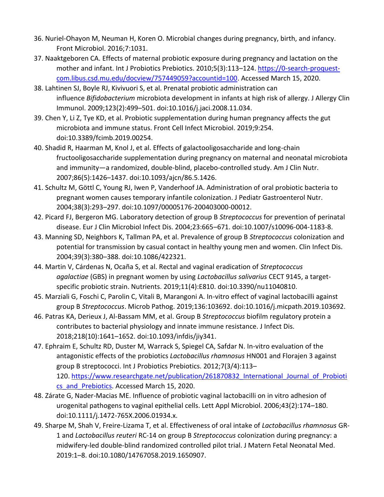- 36. Nuriel-Ohayon M, Neuman H, Koren O. Microbial changes during pregnancy, birth, and infancy. Front Microbiol. 2016;7:1031.
- 37. Naaktgeboren CA. Effects of maternal probiotic exposure during pregnancy and lactation on the mother and infant. Int J Probiotics Prebiotics. 2010;5(3):113–124. [https://0-search-proquest](https://0-search-proquest-com.libus.csd.mu.edu/docview/757449059?accountid=100)[com.libus.csd.mu.edu/docview/757449059?accountid=100.](https://0-search-proquest-com.libus.csd.mu.edu/docview/757449059?accountid=100) Accessed March 15, 2020.
- 38. Lahtinen SJ, Boyle RJ, Kivivuori S, et al. Prenatal probiotic administration can influence *Bifidobacterium* microbiota development in infants at high risk of allergy. J Allergy Clin Immunol. 2009;123(2):499–501. doi:10.1016/j.jaci.2008.11.034.
- 39. Chen Y, Li Z, Tye KD, et al. Probiotic supplementation during human pregnancy affects the gut microbiota and immune status. Front Cell Infect Microbiol. 2019;9:254. doi:10.3389/fcimb.2019.00254.
- 40. Shadid R, Haarman M, Knol J, et al. Effects of galactooligosaccharide and long-chain fructooligosaccharide supplementation during pregnancy on maternal and neonatal microbiota and immunity—a randomized, double-blind, placebo-controlled study. Am J Clin Nutr. 2007;86(5):1426–1437. doi:10.1093/ajcn/86.5.1426.
- 41. Schultz M, Göttl C, Young RJ, Iwen P, Vanderhoof JA. Administration of oral probiotic bacteria to pregnant women causes temporary infantile colonization. J Pediatr Gastroenterol Nutr. 2004;38(3):293–297. doi:10.1097/00005176-200403000-00012.
- 42. Picard FJ, Bergeron MG. Laboratory detection of group B *Streptococcus* for prevention of perinatal disease. Eur J Clin Microbiol Infect Dis. 2004;23:665–671. doi:10.1007/s10096-004-1183-8.
- 43. Manning SD, Neighbors K, Tallman PA, et al. Prevalence of group B *Streptococcus* colonization and potential for transmission by casual contact in healthy young men and women. Clin Infect Dis. 2004;39(3):380–388. doi:10.1086/422321.
- 44. Martin V, Cárdenas N, Ocaña S, et al. Rectal and vaginal eradication of *Streptococcus agalactiae* (GBS) in pregnant women by using *Lactobacillus salivarius* CECT 9145, a targetspecific probiotic strain. Nutrients. 2019;11(4):E810. doi:10.3390/nu11040810.
- 45. Marziali G, Foschi C, Parolin C, Vitali B, Marangoni A. In-vitro effect of vaginal lactobacilli against group B *Streptococcus*. Microb Pathog. 2019;136:103692. doi:10.1016/j.micpath.2019.103692.
- 46. Patras KA, Derieux J, Al-Bassam MM, et al. Group B *Streptococcus* biofilm regulatory protein a contributes to bacterial physiology and innate immune resistance. J Infect Dis. 2018;218(10):1641–1652. doi:10.1093/infdis/jiy341.
- 47. Ephraim E, Schultz RD, Duster M, Warrack S, Spiegel CA, Safdar N. In-vitro evaluation of the antagonistic effects of the probiotics *Lactobacillus rhamnosus* HN001 and Florajen 3 against group B streptococci. Int J Probiotics Prebiotics. 2012;7(3/4):113– 120. [https://www.researchgate.net/publication/261870832\\_International\\_Journal\\_of\\_Probioti](https://www.researchgate.net/publication/261870832_International_Journal_of_Probiotics_and_Prebiotics) [cs\\_and\\_Prebiotics.](https://www.researchgate.net/publication/261870832_International_Journal_of_Probiotics_and_Prebiotics) Accessed March 15, 2020.
- 48. Zárate G, Nader-Macias ME. Influence of probiotic vaginal lactobacilli on in vitro adhesion of urogenital pathogens to vaginal epithelial cells. Lett Appl Microbiol. 2006;43(2):174–180. doi:10.1111/j.1472-765X.2006.01934.x.
- 49. Sharpe M, Shah V, Freire-Lizama T, et al. Effectiveness of oral intake of *Lactobacillus rhamnosus* GR-1 and *Lactobacillus reuteri* RC-14 on group B *Streptococcus* colonization during pregnancy: a midwifery-led double-blind randomized controlled pilot trial. J Matern Fetal Neonatal Med. 2019:1–8. doi:10.1080/14767058.2019.1650907.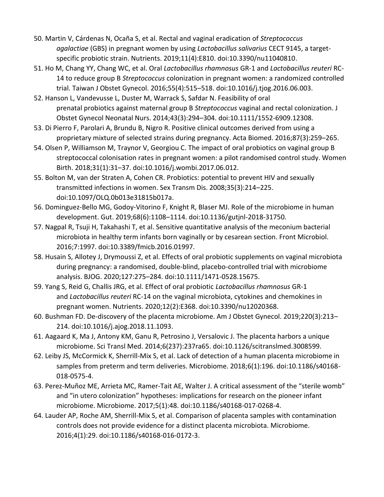- 50. Martin V, Cárdenas N, Ocaña S, et al. Rectal and vaginal eradication of *Streptococcus agalactiae* (GBS) in pregnant women by using *Lactobacillus salivarius* CECT 9145, a targetspecific probiotic strain. Nutrients. 2019;11(4):E810. doi:10.3390/nu11040810.
- 51. Ho M, Chang YY, Chang WC, et al. Oral *Lactobacillus rhamnosus* GR-1 and *Lactobacillus reuteri* RC-14 to reduce group B *Streptococcus* colonization in pregnant women: a randomized controlled trial. Taiwan J Obstet Gynecol. 2016;55(4):515–518. doi:10.1016/j.tjog.2016.06.003.
- 52. Hanson L, Vandevusse L, Duster M, Warrack S, Safdar N. Feasibility of oral prenatal probiotics against maternal group B *Streptococcus* vaginal and rectal colonization. J Obstet Gynecol Neonatal Nurs. 2014;43(3):294–304. doi:10.1111/1552-6909.12308.
- 53. Di Pierro F, Parolari A, Brundu B, Nigro R. Positive clinical outcomes derived from using a proprietary mixture of selected strains during pregnancy. Acta Biomed. 2016;87(3):259–265.
- 54. Olsen P, Williamson M, Traynor V, Georgiou C. The impact of oral probiotics on vaginal group B streptococcal colonisation rates in pregnant women: a pilot randomised control study. Women Birth. 2018;31(1):31–37. doi:10.1016/j.wombi.2017.06.012.
- 55. Bolton M, van der Straten A, Cohen CR. Probiotics: potential to prevent HIV and sexually transmitted infections in women. Sex Transm Dis. 2008;35(3):214–225. doi:10.1097/OLQ.0b013e31815b017a.
- 56. Dominguez-Bello MG, Godoy-Vitorino F, Knight R, Blaser MJ. Role of the microbiome in human development. Gut. 2019;68(6):1108–1114. doi:10.1136/gutjnl-2018-31750.
- 57. Nagpal R, Tsuji H, Takahashi T, et al. Sensitive quantitative analysis of the meconium bacterial microbiota in healthy term infants born vaginally or by cesarean section. Front Microbiol. 2016;7:1997. doi:10.3389/fmicb.2016.01997.
- 58. Husain S, Allotey J, Drymoussi Z, et al. Effects of oral probiotic supplements on vaginal microbiota during pregnancy: a randomised, double-blind, placebo-controlled trial with microbiome analysis. BJOG. 2020;127:275–284. doi:10.1111/1471-0528.15675.
- 59. Yang S, Reid G, Challis JRG, et al. Effect of oral probiotic *Lactobacillus rhamnosus* GR-1 and *Lactobacillus reuteri* RC-14 on the vaginal microbiota, cytokines and chemokines in pregnant women. Nutrients. 2020;12(2):E368. doi:10.3390/nu12020368.
- 60. Bushman FD. De-discovery of the placenta microbiome. Am J Obstet Gynecol. 2019;220(3):213– 214. doi:10.1016/j.ajog.2018.11.1093.
- 61. Aagaard K, Ma J, Antony KM, Ganu R, Petrosino J, Versalovic J. The placenta harbors a unique microbiome. Sci Transl Med. 2014;6(237):237ra65. doi:10.1126/scitranslmed.3008599.
- 62. Leiby JS, McCormick K, Sherrill-Mix S, et al. Lack of detection of a human placenta microbiome in samples from preterm and term deliveries. Microbiome. 2018;6(1):196. doi:10.1186/s40168- 018-0575-4.
- 63. Perez-Muñoz ME, Arrieta MC, Ramer-Tait AE, Walter J. A critical assessment of the "sterile womb" and "in utero colonization" hypotheses: implications for research on the pioneer infant microbiome. Microbiome. 2017;5(1):48. doi:10.1186/s40168-017-0268-4.
- 64. Lauder AP, Roche AM, Sherrill-Mix S, et al. Comparison of placenta samples with contamination controls does not provide evidence for a distinct placenta microbiota. Microbiome. 2016;4(1):29. doi:10.1186/s40168-016-0172-3.